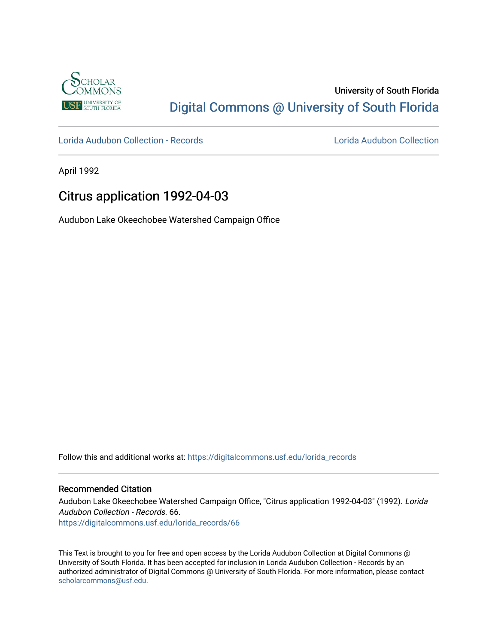

## University of South Florida [Digital Commons @ University of South Florida](https://digitalcommons.usf.edu/)

[Lorida Audubon Collection - Records](https://digitalcommons.usf.edu/lorida_records) [Lorida Audubon Collection](https://digitalcommons.usf.edu/lorida) 

April 1992

## Citrus application 1992-04-03

Audubon Lake Okeechobee Watershed Campaign Office

Follow this and additional works at: [https://digitalcommons.usf.edu/lorida\\_records](https://digitalcommons.usf.edu/lorida_records?utm_source=digitalcommons.usf.edu%2Florida_records%2F66&utm_medium=PDF&utm_campaign=PDFCoverPages)

## Recommended Citation

Audubon Lake Okeechobee Watershed Campaign Office, "Citrus application 1992-04-03" (1992). Lorida Audubon Collection - Records. 66. [https://digitalcommons.usf.edu/lorida\\_records/66](https://digitalcommons.usf.edu/lorida_records/66?utm_source=digitalcommons.usf.edu%2Florida_records%2F66&utm_medium=PDF&utm_campaign=PDFCoverPages) 

This Text is brought to you for free and open access by the Lorida Audubon Collection at Digital Commons @ University of South Florida. It has been accepted for inclusion in Lorida Audubon Collection - Records by an authorized administrator of Digital Commons @ University of South Florida. For more information, please contact [scholarcommons@usf.edu.](mailto:scholarcommons@usf.edu)